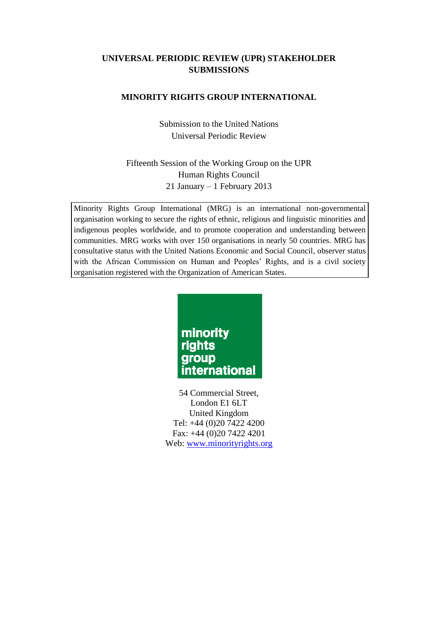# **UNIVERSAL PERIODIC REVIEW (UPR) STAKEHOLDER SUBMISSIONS**

## **MINORITY RIGHTS GROUP INTERNATIONAL**

Submission to the United Nations Universal Periodic Review

# Fifteenth Session of the Working Group on the UPR Human Rights Council 21 January – 1 February 2013

Minority Rights Group International (MRG) is an international non-governmental organisation working to secure the rights of ethnic, religious and linguistic minorities and indigenous peoples worldwide, and to promote cooperation and understanding between communities. MRG works with over 150 organisations in nearly 50 countries. MRG has consultative status with the United Nations Economic and Social Council, observer status with the African Commission on Human and Peoples' Rights, and is a civil society organisation registered with the Organization of American States.



54 Commercial Street, London E1 6LT United Kingdom Tel: +44 (0)20 7422 4200 Fax: +44 (0)20 7422 4201 Web: [www.minorityrights.org](http://www.minorityrights.org/)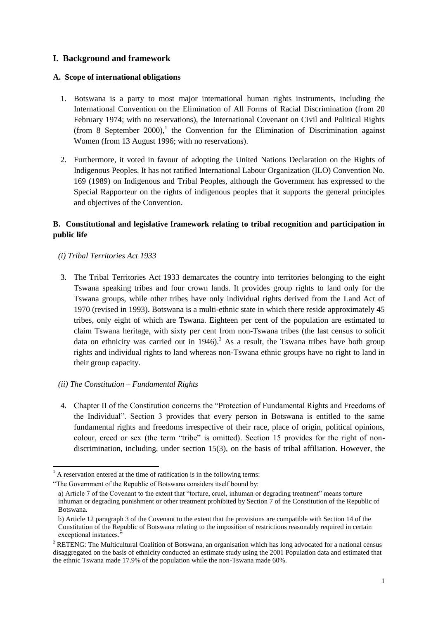## **I. Background and framework**

#### **A. Scope of international obligations**

- 1. Botswana is a party to most major international human rights instruments, including the International Convention on the Elimination of All Forms of Racial Discrimination (from 20 February 1974; with no reservations), the International Covenant on Civil and Political Rights (from 8 September 2000),<sup>1</sup> the Convention for the Elimination of Discrimination against Women (from 13 August 1996; with no reservations).
- 2. Furthermore, it voted in favour of adopting the United Nations Declaration on the Rights of Indigenous Peoples. It has not ratified International Labour Organization (ILO) Convention No. 169 (1989) on Indigenous and Tribal Peoples, although the Government has expressed to the Special Rapporteur on the rights of indigenous peoples that it supports the general principles and objectives of the Convention.

# **B. Constitutional and legislative framework relating to tribal recognition and participation in public life**

- *(i) Tribal Territories Act 1933*
- 3. The Tribal Territories Act 1933 demarcates the country into territories belonging to the eight Tswana speaking tribes and four crown lands. It provides group rights to land only for the Tswana groups, while other tribes have only individual rights derived from the Land Act of 1970 (revised in 1993). Botswana is a multi-ethnic state in which there reside approximately 45 tribes, only eight of which are Tswana. Eighteen per cent of the population are estimated to claim Tswana heritage, with sixty per cent from non-Tswana tribes (the last census to solicit data on ethnicity was carried out in 1946).<sup>2</sup> As a result, the Tswana tribes have both group rights and individual rights to land whereas non-Tswana ethnic groups have no right to land in their group capacity.

### *(ii) The Constitution – Fundamental Rights*

**.** 

4. Chapter II of the Constitution concerns the "Protection of Fundamental Rights and Freedoms of the Individual". Section 3 provides that every person in Botswana is entitled to the same fundamental rights and freedoms irrespective of their race, place of origin, political opinions, colour, creed or sex (the term "tribe" is omitted). Section 15 provides for the right of nondiscrimination, including, under section 15(3), on the basis of tribal affiliation. However, the

 $1$  A reservation entered at the time of ratification is in the following terms:

<sup>&</sup>quot;The Government of the Republic of Botswana considers itself bound by:

a) Article 7 of the Covenant to the extent that "torture, cruel, inhuman or degrading treatment" means torture inhuman or degrading punishment or other treatment prohibited by Section 7 of the Constitution of the Republic of Botswana.

b) Article 12 paragraph 3 of the Covenant to the extent that the provisions are compatible with Section 14 of the Constitution of the Republic of Botswana relating to the imposition of restrictions reasonably required in certain exceptional instances."

<sup>&</sup>lt;sup>2</sup> RETENG: The Multicultural Coalition of Botswana, an organisation which has long advocated for a national census disaggregated on the basis of ethnicity conducted an estimate study using the 2001 Population data and estimated that the ethnic Tswana made 17.9% of the population while the non-Tswana made 60%.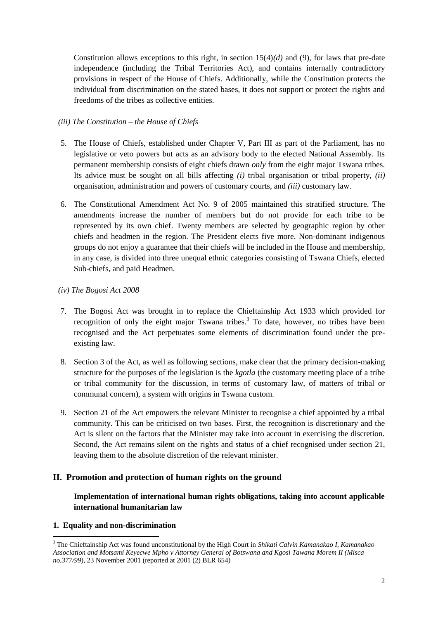Constitution allows exceptions to this right, in section 15(4)*(d)* and (9), for laws that pre-date independence (including the Tribal Territories Act), and contains internally contradictory provisions in respect of the House of Chiefs. Additionally, while the Constitution protects the individual from discrimination on the stated bases, it does not support or protect the rights and freedoms of the tribes as collective entities.

### *(iii) The Constitution – the House of Chiefs*

- 5. The House of Chiefs, established under Chapter V, Part III as part of the Parliament, has no legislative or veto powers but acts as an advisory body to the elected National Assembly. Its permanent membership consists of eight chiefs drawn *only* from the eight major Tswana tribes. Its advice must be sought on all bills affecting *(i)* tribal organisation or tribal property, *(ii)* organisation, administration and powers of customary courts, and *(iii)* customary law.
- 6. The Constitutional Amendment Act No. 9 of 2005 maintained this stratified structure. The amendments increase the number of members but do not provide for each tribe to be represented by its own chief. Twenty members are selected by geographic region by other chiefs and headmen in the region. The President elects five more. Non-dominant indigenous groups do not enjoy a guarantee that their chiefs will be included in the House and membership, in any case, is divided into three unequal ethnic categories consisting of Tswana Chiefs, elected Sub-chiefs, and paid Headmen.

#### *(iv) The Bogosi Act 2008*

- 7. The Bogosi Act was brought in to replace the Chieftainship Act 1933 which provided for recognition of only the eight major Tswana tribes.<sup>3</sup> To date, however, no tribes have been recognised and the Act perpetuates some elements of discrimination found under the preexisting law.
- 8. Section 3 of the Act, as well as following sections, make clear that the primary decision-making structure for the purposes of the legislation is the *kgotla* (the customary meeting place of a tribe or tribal community for the discussion, in terms of customary law, of matters of tribal or communal concern), a system with origins in Tswana custom.
- 9. Section 21 of the Act empowers the relevant Minister to recognise a chief appointed by a tribal community. This can be criticised on two bases. First, the recognition is discretionary and the Act is silent on the factors that the Minister may take into account in exercising the discretion. Second, the Act remains silent on the rights and status of a chief recognised under section 21, leaving them to the absolute discretion of the relevant minister.

### **II. Promotion and protection of human rights on the ground**

# **Implementation of international human rights obligations, taking into account applicable international humanitarian law**

#### **1. Equality and non-discrimination**

 $\overline{a}$ 

<sup>3</sup> The Chieftainship Act was found unconstitutional by the High Court in *Shikati Calvin Kamanakao I, Kamanakao Association and Motsami Keyecwe Mpho v Attorney General of Botswana and Kgosi Tawana Morem II (Misca no.377/99*), 23 November 2001 (reported at 2001 (2) BLR 654)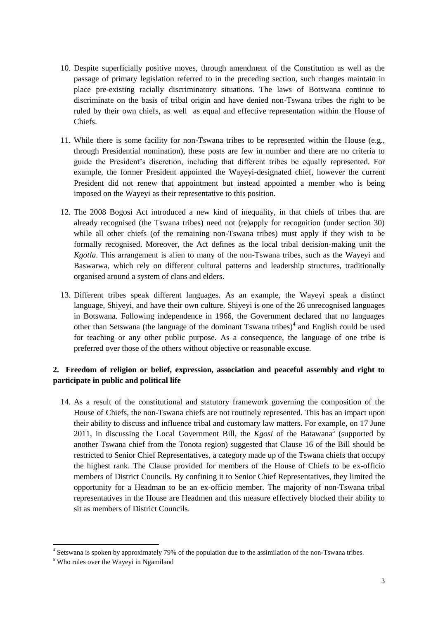- 10. Despite superficially positive moves, through amendment of the Constitution as well as the passage of primary legislation referred to in the preceding section, such changes maintain in place pre-existing racially discriminatory situations. The laws of Botswana continue to discriminate on the basis of tribal origin and have denied non-Tswana tribes the right to be ruled by their own chiefs, as well as equal and effective representation within the House of Chiefs.
- 11. While there is some facility for non-Tswana tribes to be represented within the House (e.g., through Presidential nomination), these posts are few in number and there are no criteria to guide the President"s discretion, including that different tribes be equally represented. For example, the former President appointed the Wayeyi-designated chief, however the current President did not renew that appointment but instead appointed a member who is being imposed on the Wayeyi as their representative to this position.
- 12. The 2008 Bogosi Act introduced a new kind of inequality, in that chiefs of tribes that are already recognised (the Tswana tribes) need not (re)apply for recognition (under section 30) while all other chiefs (of the remaining non-Tswana tribes) must apply if they wish to be formally recognised. Moreover, the Act defines as the local tribal decision-making unit the *Kgotla*. This arrangement is alien to many of the non-Tswana tribes, such as the Wayeyi and Baswarwa, which rely on different cultural patterns and leadership structures, traditionally organised around a system of clans and elders.
- 13. Different tribes speak different languages. As an example, the Wayeyi speak a distinct language, Shiyeyi, and have their own culture. Shiyeyi is one of the 26 unrecognised languages in Botswana. Following independence in 1966, the Government declared that no languages other than Setswana (the language of the dominant Tswana tribes)<sup>4</sup> and English could be used for teaching or any other public purpose. As a consequence, the language of one tribe is preferred over those of the others without objective or reasonable excuse.

## **2. Freedom of religion or belief, expression, association and peaceful assembly and right to participate in public and political life**

14. As a result of the constitutional and statutory framework governing the composition of the House of Chiefs, the non-Tswana chiefs are not routinely represented. This has an impact upon their ability to discuss and influence tribal and customary law matters. For example, on 17 June 2011, in discussing the Local Government Bill, the *Kgosi* of the Batawana<sup>5</sup> (supported by another Tswana chief from the Tonota region) suggested that Clause 16 of the Bill should be restricted to Senior Chief Representatives, a category made up of the Tswana chiefs that occupy the highest rank. The Clause provided for members of the House of Chiefs to be ex-officio members of District Councils. By confining it to Senior Chief Representatives, they limited the opportunity for a Headman to be an ex-officio member. The majority of non-Tswana tribal representatives in the House are Headmen and this measure effectively blocked their ability to sit as members of District Councils.

**.** 

<sup>&</sup>lt;sup>4</sup> Setswana is spoken by approximately 79% of the population due to the assimilation of the non-Tswana tribes.

<sup>5</sup> Who rules over the Wayeyi in Ngamiland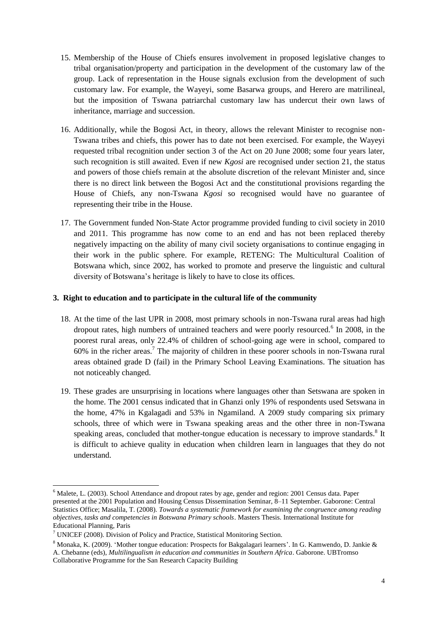- 15. Membership of the House of Chiefs ensures involvement in proposed legislative changes to tribal organisation/property and participation in the development of the customary law of the group. Lack of representation in the House signals exclusion from the development of such customary law. For example, the Wayeyi, some Basarwa groups, and Herero are matrilineal, but the imposition of Tswana patriarchal customary law has undercut their own laws of inheritance, marriage and succession.
- 16. Additionally, while the Bogosi Act, in theory, allows the relevant Minister to recognise non-Tswana tribes and chiefs, this power has to date not been exercised. For example, the Wayeyi requested tribal recognition under section 3 of the Act on 20 June 2008; some four years later, such recognition is still awaited. Even if new *Kgosi* are recognised under section 21, the status and powers of those chiefs remain at the absolute discretion of the relevant Minister and, since there is no direct link between the Bogosi Act and the constitutional provisions regarding the House of Chiefs, any non-Tswana *Kgosi* so recognised would have no guarantee of representing their tribe in the House.
- 17. The Government funded Non-State Actor programme provided funding to civil society in 2010 and 2011. This programme has now come to an end and has not been replaced thereby negatively impacting on the ability of many civil society organisations to continue engaging in their work in the public sphere. For example, RETENG: The Multicultural Coalition of Botswana which, since 2002, has worked to promote and preserve the linguistic and cultural diversity of Botswana"s heritage is likely to have to close its offices.

#### **3. Right to education and to participate in the cultural life of the community**

- 18. At the time of the last UPR in 2008, most primary schools in non-Tswana rural areas had high dropout rates, high numbers of untrained teachers and were poorly resourced.<sup>6</sup> In 2008, in the poorest rural areas, only 22.4% of children of school-going age were in school, compared to 60% in the richer areas.<sup>7</sup> The majority of children in these poorer schools in non-Tswana rural areas obtained grade D (fail) in the Primary School Leaving Examinations. The situation has not noticeably changed.
- 19. These grades are unsurprising in locations where languages other than Setswana are spoken in the home. The 2001 census indicated that in Ghanzi only 19% of respondents used Setswana in the home, 47% in Kgalagadi and 53% in Ngamiland. A 2009 study comparing six primary schools, three of which were in Tswana speaking areas and the other three in non-Tswana speaking areas, concluded that mother-tongue education is necessary to improve standards. $8$  It is difficult to achieve quality in education when children learn in languages that they do not understand.

1

<sup>&</sup>lt;sup>6</sup> Malete, L. (2003). School Attendance and dropout rates by age, gender and region: 2001 Census data. Paper presented at the 2001 Population and Housing Census Dissemination Seminar, 8–11 September. Gaborone: Central Statistics Office; Masalila, T. (2008). *Towards a systematic framework for examining the congruence among reading objectives, tasks and competencies in Botswana Primary schools*. Masters Thesis. International Institute for Educational Planning, Paris

 $7$  UNICEF (2008). Division of Policy and Practice, Statistical Monitoring Section.

<sup>&</sup>lt;sup>8</sup> Monaka, K. (2009). 'Mother tongue education: Prospects for Bakgalagari learners'. In G. Kamwendo, D. Jankie & A. Chebanne (eds), *Multilingualism in education and communities in Southern Africa*. Gaborone. UBTromso Collaborative Programme for the San Research Capacity Building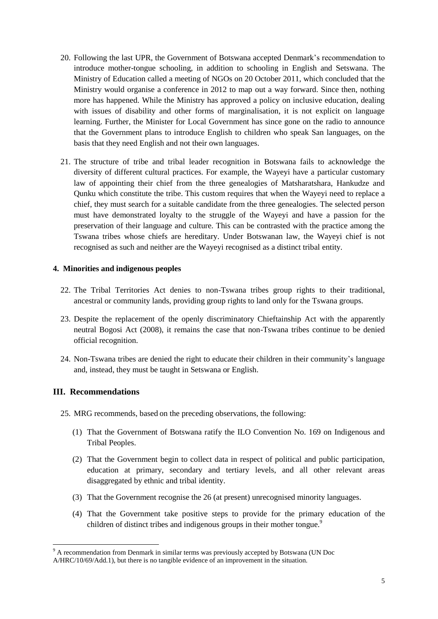- 20. Following the last UPR, the Government of Botswana accepted Denmark"s recommendation to introduce mother-tongue schooling, in addition to schooling in English and Setswana. The Ministry of Education called a meeting of NGOs on 20 October 2011, which concluded that the Ministry would organise a conference in 2012 to map out a way forward. Since then, nothing more has happened. While the Ministry has approved a policy on inclusive education, dealing with issues of disability and other forms of marginalisation, it is not explicit on language learning. Further, the Minister for Local Government has since gone on the radio to announce that the Government plans to introduce English to children who speak San languages, on the basis that they need English and not their own languages.
- 21. The structure of tribe and tribal leader recognition in Botswana fails to acknowledge the diversity of different cultural practices. For example, the Wayeyi have a particular customary law of appointing their chief from the three genealogies of Matsharatshara, Hankudze and Qunku which constitute the tribe. This custom requires that when the Wayeyi need to replace a chief, they must search for a suitable candidate from the three genealogies. The selected person must have demonstrated loyalty to the struggle of the Wayeyi and have a passion for the preservation of their language and culture. This can be contrasted with the practice among the Tswana tribes whose chiefs are hereditary. Under Botswanan law, the Wayeyi chief is not recognised as such and neither are the Wayeyi recognised as a distinct tribal entity.

#### **4. Minorities and indigenous peoples**

- 22. The Tribal Territories Act denies to non-Tswana tribes group rights to their traditional, ancestral or community lands, providing group rights to land only for the Tswana groups.
- 23. Despite the replacement of the openly discriminatory Chieftainship Act with the apparently neutral Bogosi Act (2008), it remains the case that non-Tswana tribes continue to be denied official recognition.
- 24. Non-Tswana tribes are denied the right to educate their children in their community"s language and, instead, they must be taught in Setswana or English.

### **III. Recommendations**

**.** 

- 25. MRG recommends, based on the preceding observations, the following:
	- (1) That the Government of Botswana ratify the ILO Convention No. 169 on Indigenous and Tribal Peoples.
	- (2) That the Government begin to collect data in respect of political and public participation, education at primary, secondary and tertiary levels, and all other relevant areas disaggregated by ethnic and tribal identity.
	- (3) That the Government recognise the 26 (at present) unrecognised minority languages.
	- (4) That the Government take positive steps to provide for the primary education of the children of distinct tribes and indigenous groups in their mother tongue.<sup>9</sup>

<sup>&</sup>lt;sup>9</sup> A recommendation from Denmark in similar terms was previously accepted by Botswana (UN Doc

A/HRC/10/69/Add.1), but there is no tangible evidence of an improvement in the situation.